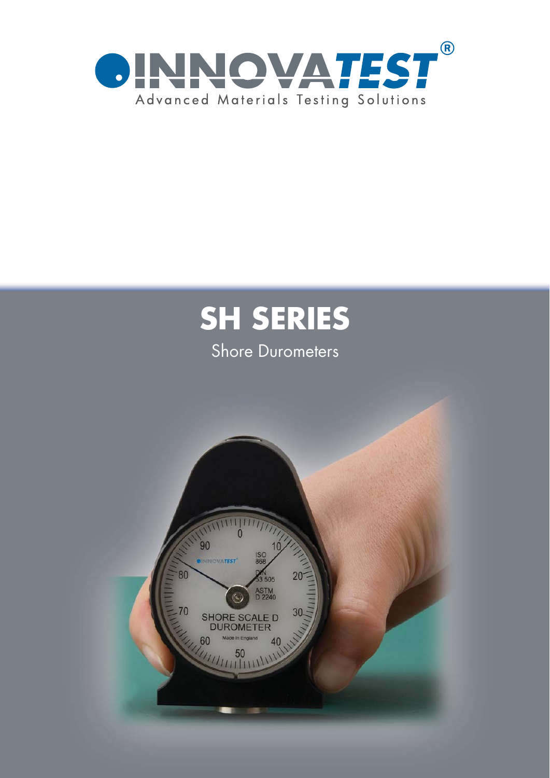

# **SH SERIES**

## **Shore Durometers**

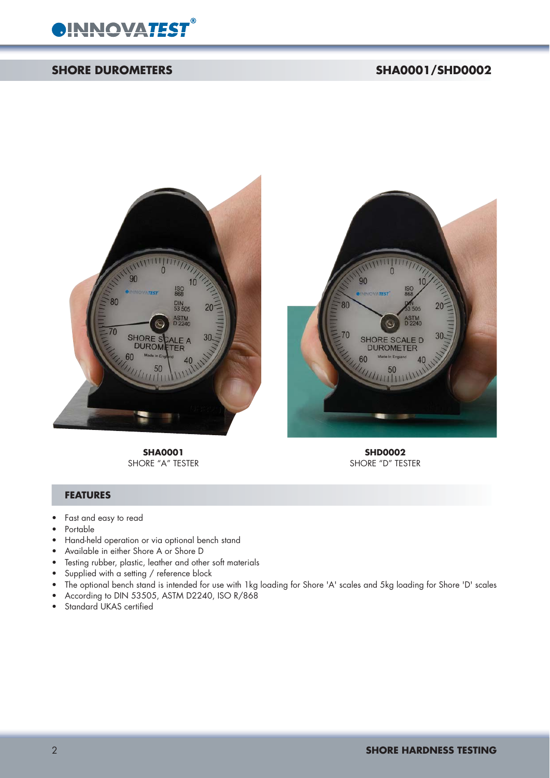

#### **SHORE DUROMETERS** SHA0001/SHD0002



SHORE "A" TESTER



**SHA0001**<br>
DRE "A" TESTER<br>
DRE "A" TESTER

#### **FEATURES**

- Fast and easy to read
- Portable
- Hand-held operation or via optional bench stand
- Available in either Shore A or Shore D
- Testing rubber, plastic, leather and other soft materials
- Supplied with a setting / reference block
- The optional bench stand is intended for use with 1kg loading for Shore 'A' scales and 5kg loading for Shore 'D' scales
- According to DIN 53505, ASTM D2240, ISO R/868
- Standard UKAS certified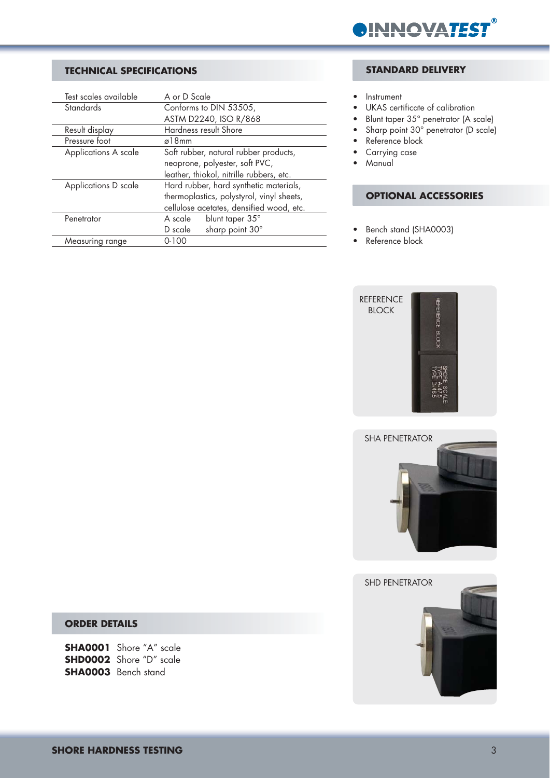

#### **TECHNICAL SPECIFICATIONS**

| Test scales available | A or D Scale                              |
|-----------------------|-------------------------------------------|
| <b>Standards</b>      | Conforms to DIN 53505,                    |
|                       | ASTM D2240, ISO R/868                     |
| Result display        | Hardness result Shore                     |
| Pressure foot         | ø18mm                                     |
| Applications A scale  | Soft rubber, natural rubber products,     |
|                       | neoprone, polyester, soft PVC,            |
|                       | leather, thiokol, nitrille rubbers, etc.  |
| Applications D scale  | Hard rubber, hard synthetic materials,    |
|                       | thermoplastics, polystyrol, vinyl sheets, |
|                       | cellulose acetates, densified wood, etc.  |
| Penetrator            | blunt taper 35°<br>A scale                |
|                       | sharp point 30°<br>D scale                |
| Measuring range       | $0 - 100$                                 |

#### **STANDARD DELIVERY**

- Instrument
- UKAS certificate of calibration
- Blunt taper 35° penetrator (A scale)
- Sharp point 30° penetrator (D scale)
- Reference block
- Carrying case
- Manual

#### **OPTIONAL ACCESSORIES**

- Bench stand (SHA0003)
- Reference block







#### **ORDER DETAILS**

**SHA0001** Shore "A" scale **SHD0002** Shore "D" scale **SHA0003** Bench stand